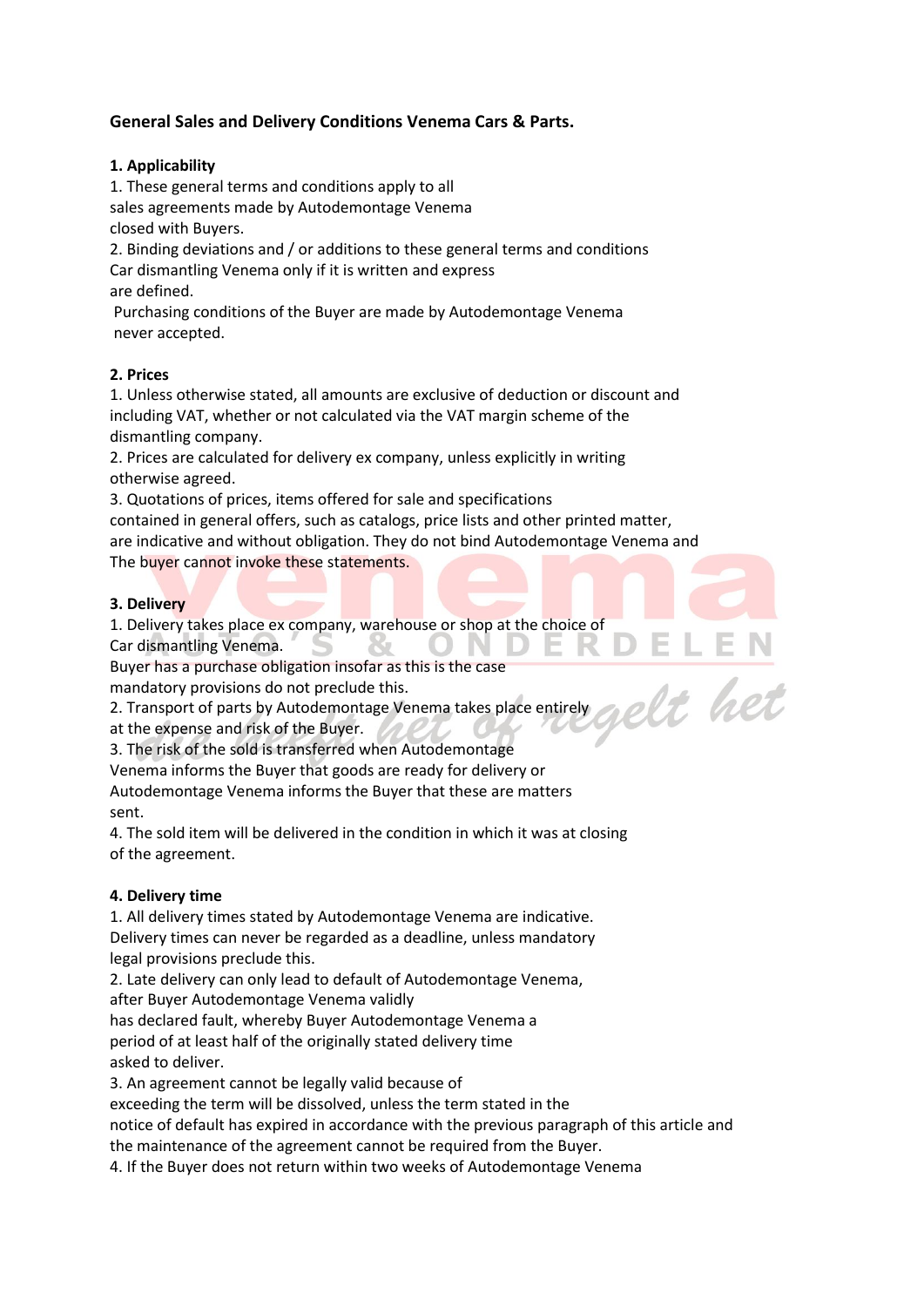# **General Sales and Delivery Conditions Venema Cars & Parts.**

#### **1. Applicability**

1. These general terms and conditions apply to all sales agreements made by Autodemontage Venema

closed with Buyers.

2. Binding deviations and / or additions to these general terms and conditions Car dismantling Venema only if it is written and express are defined.

Purchasing conditions of the Buyer are made by Autodemontage Venema never accepted.

### **2. Prices**

1. Unless otherwise stated, all amounts are exclusive of deduction or discount and including VAT, whether or not calculated via the VAT margin scheme of the dismantling company.

2. Prices are calculated for delivery ex company, unless explicitly in writing otherwise agreed.

3. Quotations of prices, items offered for sale and specifications

contained in general offers, such as catalogs, price lists and other printed matter, are indicative and without obligation. They do not bind Autodemontage Venema and The buyer cannot invoke these statements.

elt het

#### **3. Delivery**

1. Delivery takes place ex company, warehouse or shop at the choice of Car dismantling Venema. X.

Buyer has a purchase obligation insofar as this is the case

mandatory provisions do not preclude this.

2. Transport of parts by Autodemontage Venema takes place entirely

at the expense and risk of the Buyer.

3. The risk of the sold is transferred when Autodemontage

Venema informs the Buyer that goods are ready for delivery or Autodemontage Venema informs the Buyer that these are matters sent.

4. The sold item will be delivered in the condition in which it was at closing of the agreement.

### **4. Delivery time**

1. All delivery times stated by Autodemontage Venema are indicative. Delivery times can never be regarded as a deadline, unless mandatory legal provisions preclude this.

2. Late delivery can only lead to default of Autodemontage Venema,

after Buyer Autodemontage Venema validly

has declared fault, whereby Buyer Autodemontage Venema a

period of at least half of the originally stated delivery time asked to deliver.

3. An agreement cannot be legally valid because of

exceeding the term will be dissolved, unless the term stated in the

notice of default has expired in accordance with the previous paragraph of this article and the maintenance of the agreement cannot be required from the Buyer.

4. If the Buyer does not return within two weeks of Autodemontage Venema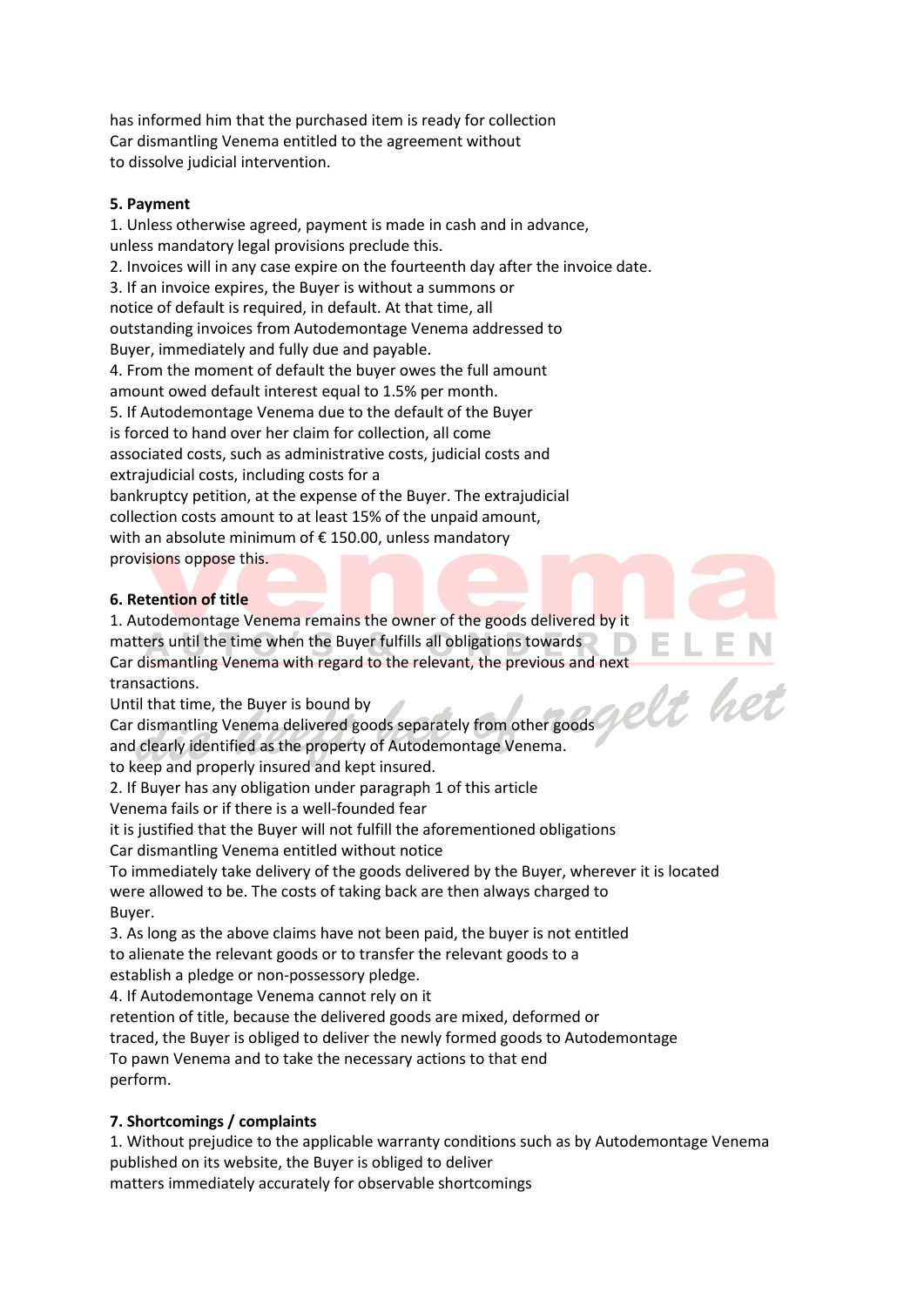has informed him that the purchased item is ready for collection Car dismantling Venema entitled to the agreement without to dissolve judicial intervention.

#### **5. Payment**

1. Unless otherwise agreed, payment is made in cash and in advance, unless mandatory legal provisions preclude this. 2. Invoices will in any case expire on the fourteenth day after the invoice date. 3. If an invoice expires, the Buyer is without a summons or notice of default is required, in default. At that time, all outstanding invoices from Autodemontage Venema addressed to Buyer, immediately and fully due and payable. 4. From the moment of default the buyer owes the full amount amount owed default interest equal to 1.5% per month. 5. If Autodemontage Venema due to the default of the Buyer is forced to hand over her claim for collection, all come associated costs, such as administrative costs, judicial costs and extrajudicial costs, including costs for a bankruptcy petition, at the expense of the Buyer. The extrajudicial collection costs amount to at least 15% of the unpaid amount, with an absolute minimum of € 150.00, unless mandatory provisions oppose this.

#### **6. Retention of title**

1. Autodemontage Venema remains the owner of the goods delivered by it matters until the time when the Buyer fulfills all obligations towards. Car dismantling Venema with regard to the relevant, the previous and next<br>transactions.<br>Until that time, the Buyer is bound by<br>Car dismantling Venema delivered social state of the contract of the contract of the contract o transactions.

Until that time, the Buyer is bound by

Car dismantling Venema delivered goods separately from other goods

and clearly identified as the property of Autodemontage Venema.

to keep and properly insured and kept insured.

2. If Buyer has any obligation under paragraph 1 of this article

Venema fails or if there is a well-founded fear

it is justified that the Buyer will not fulfill the aforementioned obligations

Car dismantling Venema entitled without notice

To immediately take delivery of the goods delivered by the Buyer, wherever it is located were allowed to be. The costs of taking back are then always charged to Buyer.

3. As long as the above claims have not been paid, the buyer is not entitled to alienate the relevant goods or to transfer the relevant goods to a establish a pledge or non-possessory pledge.

4. If Autodemontage Venema cannot rely on it

retention of title, because the delivered goods are mixed, deformed or

traced, the Buyer is obliged to deliver the newly formed goods to Autodemontage

To pawn Venema and to take the necessary actions to that end perform.

### **7. Shortcomings / complaints**

1. Without prejudice to the applicable warranty conditions such as by Autodemontage Venema published on its website, the Buyer is obliged to deliver matters immediately accurately for observable shortcomings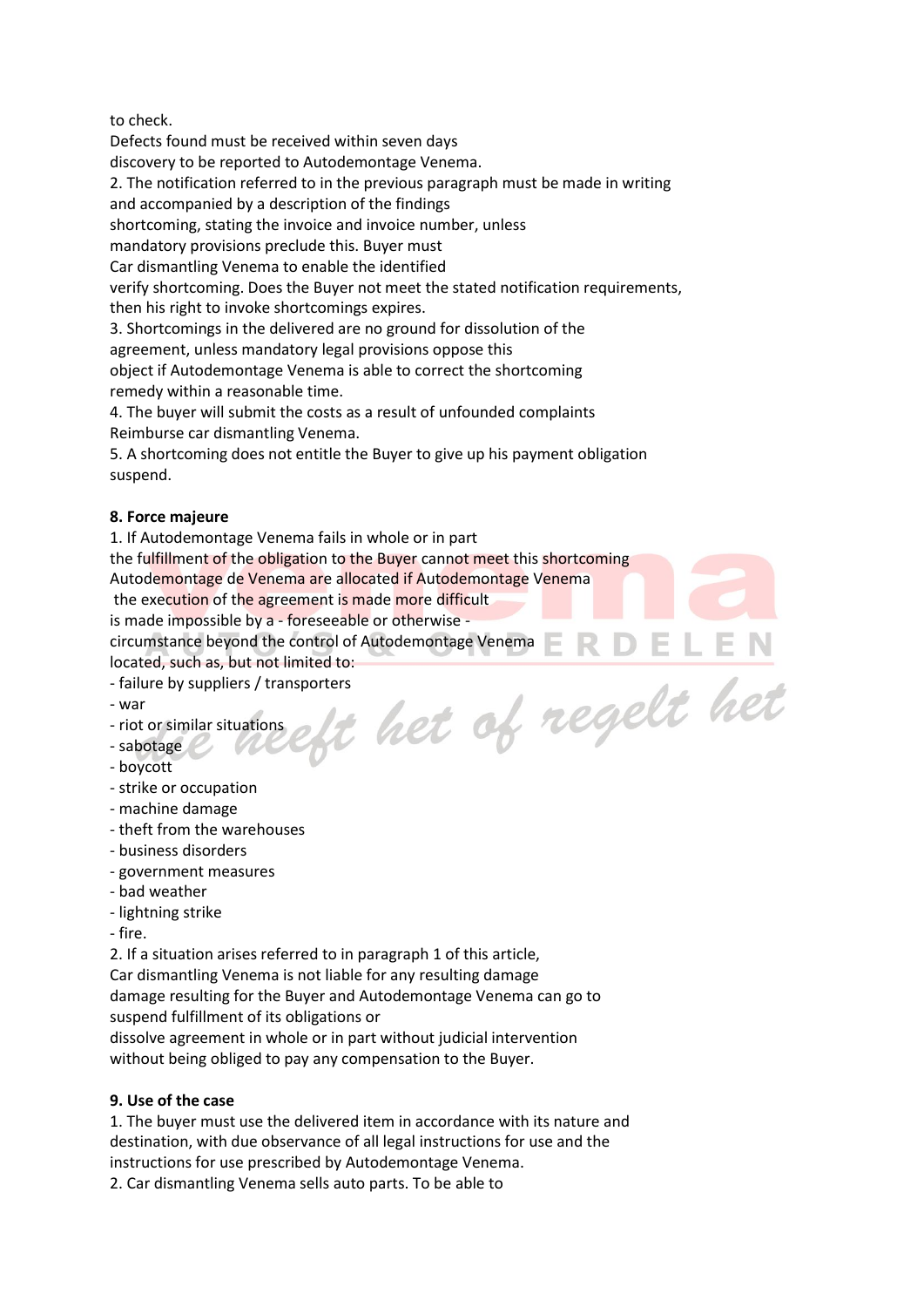to check.

Defects found must be received within seven days discovery to be reported to Autodemontage Venema. 2. The notification referred to in the previous paragraph must be made in writing and accompanied by a description of the findings shortcoming, stating the invoice and invoice number, unless mandatory provisions preclude this. Buyer must Car dismantling Venema to enable the identified verify shortcoming. Does the Buyer not meet the stated notification requirements, then his right to invoke shortcomings expires. 3. Shortcomings in the delivered are no ground for dissolution of the agreement, unless mandatory legal provisions oppose this object if Autodemontage Venema is able to correct the shortcoming

remedy within a reasonable time.

4. The buyer will submit the costs as a result of unfounded complaints Reimburse car dismantling Venema.

5. A shortcoming does not entitle the Buyer to give up his payment obligation suspend.

### **8. Force majeure**

1. If Autodemontage Venema fails in whole or in part the fulfillment of the obligation to the Buyer cannot meet this shortcoming Autodemontage de Venema are allocated if Autodemontage Venema the execution of the agreement is made more difficult is made impossible by a - foreseeable or otherwise -

circumstance beyond the control of Autodemontage Venema

- located, such as, but not limited to:<br>
failure by suppliers / transporters<br>
war<br>
riot or similar situations<br>
sabotage<br>
howcatt - failure by suppliers / transporters
- war
- riot or similar situations
- sabotage
- boycott
- strike or occupation
- machine damage
- theft from the warehouses
- business disorders
- government measures
- bad weather
- lightning strike
- fire.

2. If a situation arises referred to in paragraph 1 of this article, Car dismantling Venema is not liable for any resulting damage damage resulting for the Buyer and Autodemontage Venema can go to suspend fulfillment of its obligations or

dissolve agreement in whole or in part without judicial intervention without being obliged to pay any compensation to the Buyer.

### **9. Use of the case**

1. The buyer must use the delivered item in accordance with its nature and destination, with due observance of all legal instructions for use and the instructions for use prescribed by Autodemontage Venema.

2. Car dismantling Venema sells auto parts. To be able to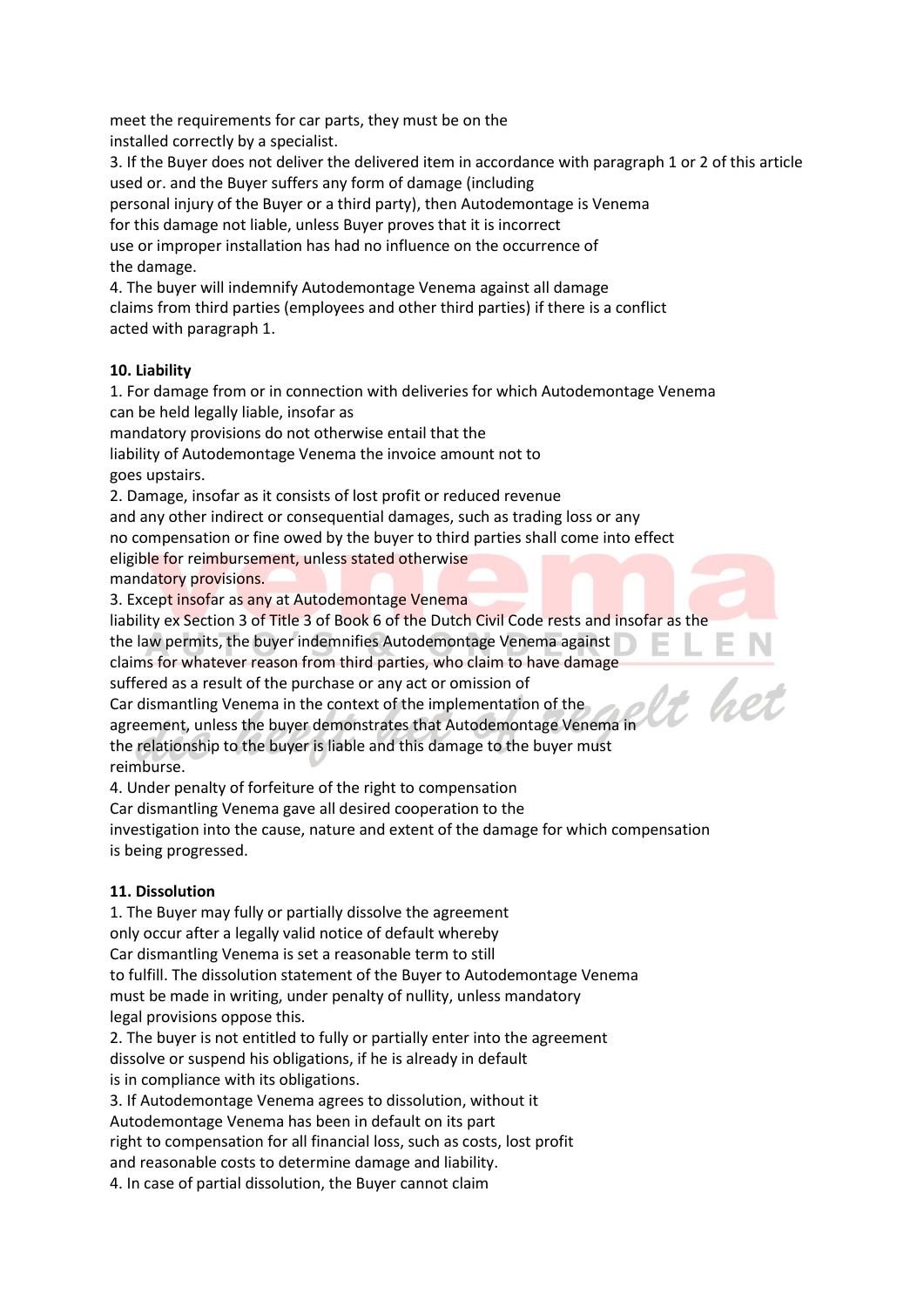meet the requirements for car parts, they must be on the installed correctly by a specialist.

3. If the Buyer does not deliver the delivered item in accordance with paragraph 1 or 2 of this article used or. and the Buyer suffers any form of damage (including

personal injury of the Buyer or a third party), then Autodemontage is Venema

for this damage not liable, unless Buyer proves that it is incorrect

use or improper installation has had no influence on the occurrence of the damage.

4. The buyer will indemnify Autodemontage Venema against all damage claims from third parties (employees and other third parties) if there is a conflict acted with paragraph 1.

### **10. Liability**

1. For damage from or in connection with deliveries for which Autodemontage Venema can be held legally liable, insofar as

mandatory provisions do not otherwise entail that the

liability of Autodemontage Venema the invoice amount not to goes upstairs.

2. Damage, insofar as it consists of lost profit or reduced revenue

and any other indirect or consequential damages, such as trading loss or any no compensation or fine owed by the buyer to third parties shall come into effect eligible for reimbursement, unless stated otherwise mandatory provisions.

3. Except insofar as any at Autodemontage Venema

liability ex Section 3 of Title 3 of Book 6 of the Dutch Civil Code rests and insofar as the

the law permits, the buyer indemnifies Autodemontage Venema against

claims for whatever reason from third parties, who claim to have damage

suffered as a result of the purchase or any act or omission of

Car dismantling Venema in the context of the implementation of the

agreement, unless the buyer demonstrates that Autodemontage Venema in the relationship to the buyer is liable and this damage to the buyer must

reimburse.

4. Under penalty of forfeiture of the right to compensation

Car dismantling Venema gave all desired cooperation to the

investigation into the cause, nature and extent of the damage for which compensation is being progressed.

### **11. Dissolution**

1. The Buyer may fully or partially dissolve the agreement only occur after a legally valid notice of default whereby Car dismantling Venema is set a reasonable term to still to fulfill. The dissolution statement of the Buyer to Autodemontage Venema must be made in writing, under penalty of nullity, unless mandatory legal provisions oppose this.

2. The buyer is not entitled to fully or partially enter into the agreement dissolve or suspend his obligations, if he is already in default is in compliance with its obligations.

3. If Autodemontage Venema agrees to dissolution, without it Autodemontage Venema has been in default on its part right to compensation for all financial loss, such as costs, lost profit and reasonable costs to determine damage and liability.

4. In case of partial dissolution, the Buyer cannot claim